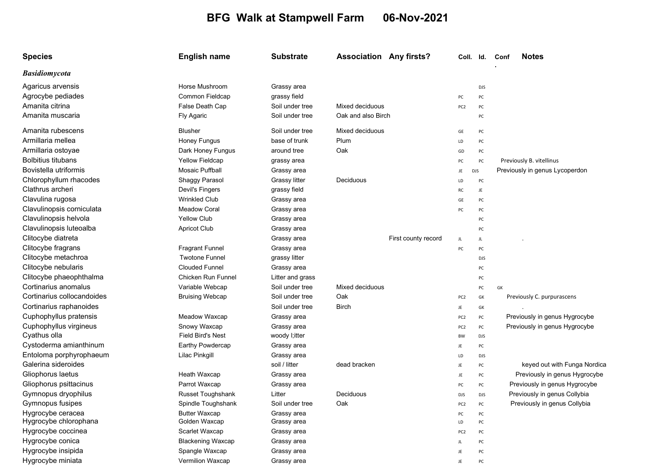## BFG Walk at Stampwell Farm 06-Nov-2021

| <b>Species</b>             | <b>English name</b>      | <b>Substrate</b> | <b>Association Any firsts?</b> | Coll. Id.       |            | <b>Notes</b><br>Conf           |
|----------------------------|--------------------------|------------------|--------------------------------|-----------------|------------|--------------------------------|
| <b>Basidiomycota</b>       |                          |                  |                                |                 |            |                                |
| Agaricus arvensis          | Horse Mushroom           | Grassy area      |                                |                 | <b>DJS</b> |                                |
| Agrocybe pediades          | Common Fieldcap          | grassy field     |                                | PC              | PC         |                                |
| Amanita citrina            | False Death Cap          | Soil under tree  | Mixed deciduous                | PC <sub>2</sub> | PC         |                                |
| Amanita muscaria           | Fly Agaric               | Soil under tree  | Oak and also Birch             |                 | PC         |                                |
| Amanita rubescens          | <b>Blusher</b>           | Soil under tree  | Mixed deciduous                | GE              | PC         |                                |
| Armillaria mellea          | Honey Fungus             | base of trunk    | Plum                           | LD              | PC         |                                |
| Armillaria ostoyae         | Dark Honey Fungus        | around tree      | Oak                            | GD              | PC         |                                |
| <b>Bolbitius titubans</b>  | <b>Yellow Fieldcap</b>   | grassy area      |                                | PC              | PC         | Previously B. vitellinus       |
| Bovistella utriformis      | <b>Mosaic Puffball</b>   | Grassy area      |                                | JE              | DJS        | Previously in genus Lycoperdon |
| Chlorophyllum rhacodes     | Shaggy Parasol           | Grassy litter    | Deciduous                      | LD              | PC         |                                |
| Clathrus archeri           | Devil's Fingers          | grassy field     |                                | RC              | JE         |                                |
| Clavulina rugosa           | <b>Wrinkled Club</b>     | Grassy area      |                                | GE              | PC         |                                |
| Clavulinopsis corniculata  | <b>Meadow Coral</b>      | Grassy area      |                                | PC              | PC         |                                |
| Clavulinopsis helvola      | <b>Yellow Club</b>       | Grassy area      |                                |                 | PC         |                                |
| Clavulinopsis luteoalba    | <b>Apricot Club</b>      | Grassy area      |                                |                 | PC         |                                |
| Clitocybe diatreta         |                          | Grassy area      | First county record            | JL              | JL         |                                |
| Clitocybe fragrans         | <b>Fragrant Funnel</b>   | Grassy area      |                                | PC              | PC         |                                |
| Clitocybe metachroa        | <b>Twotone Funnel</b>    | grassy litter    |                                |                 | <b>DJS</b> |                                |
| Clitocybe nebularis        | <b>Clouded Funnel</b>    | Grassy area      |                                |                 | PC         |                                |
| Clitocybe phaeophthalma    | Chicken Run Funnel       | Litter and grass |                                |                 | PC         |                                |
| Cortinarius anomalus       | Variable Webcap          | Soil under tree  | Mixed deciduous                |                 | PC         | GK                             |
| Cortinarius collocandoides | <b>Bruising Webcap</b>   | Soil under tree  | Oak                            | PC <sub>2</sub> | GK         | Previously C. purpurascens     |
| Cortinarius raphanoides    |                          | Soil under tree  | <b>Birch</b>                   | JE.             | GK         |                                |
| Cuphophyllus pratensis     | Meadow Waxcap            | Grassy area      |                                | PC <sub>2</sub> | PC         | Previously in genus Hygrocybe  |
| Cuphophyllus virgineus     | Snowy Waxcap             | Grassy area      |                                | PC <sub>2</sub> | PC         | Previously in genus Hygrocybe  |
| Cyathus olla               | <b>Field Bird's Nest</b> | woody I;itter    |                                | BW              | <b>DJS</b> |                                |
| Cystoderma amianthinum     | <b>Earthy Powdercap</b>  | Grassy area      |                                | JE              | PC         |                                |
| Entoloma porphyrophaeum    | Lilac Pinkgill           | Grassy area      |                                | LD              | <b>DJS</b> |                                |
| Galerina sideroides        |                          | soil / litter    | dead bracken                   | JE              | PC         | keyed out with Funga Nordica   |
| Gliophorus laetus          | Heath Waxcap             | Grassy area      |                                | JE              | PC         | Previously in genus Hygrocybe  |
| Gliophorus psittacinus     | Parrot Waxcap            | Grassy area      |                                | PC              | PC         | Previously in genus Hygrocybe  |
| Gymnopus dryophilus        | Russet Toughshank        | Litter           | Deciduous                      | DJS             | <b>DJS</b> | Previously in genus Collybia   |
| Gymnopus fusipes           | Spindle Toughshank       | Soil under tree  | Oak                            | PC <sub>2</sub> | PC         | Previously in genus Collybia   |
| Hygrocybe ceracea          | <b>Butter Waxcap</b>     | Grassy area      |                                | PC              | PC         |                                |
| Hygrocybe chlorophana      | Golden Waxcap            | Grassy area      |                                | LD              | PC         |                                |
| Hygrocybe coccinea         | Scarlet Waxcap           | Grassy area      |                                | PC <sub>2</sub> | PC         |                                |
| Hygrocybe conica           | <b>Blackening Waxcap</b> | Grassy area      |                                | JL              | PC         |                                |
| Hygrocybe insipida         | Spangle Waxcap           | Grassy area      |                                | JE              | PC         |                                |
| Hygrocybe miniata          | <b>Vermilion Waxcap</b>  | Grassy area      |                                | JE              | PC         |                                |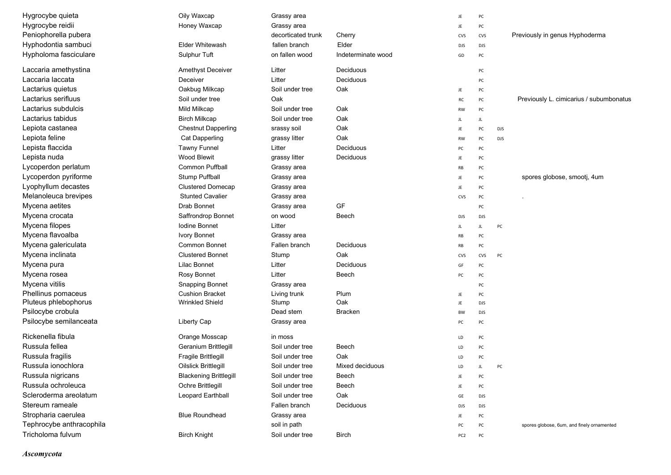| Hygrocybe quieta         | Oily Waxcap                   | Grassy area        |                    | JE              | PC         |                                            |
|--------------------------|-------------------------------|--------------------|--------------------|-----------------|------------|--------------------------------------------|
| Hygrocybe reidii         | Honey Waxcap                  | Grassy area        |                    | JE              | PC         |                                            |
| Peniophorella pubera     |                               | decorticated trunk | Cherry             | <b>CVS</b>      | CVS        | Previously in genus Hyphoderma             |
| Hyphodontia sambuci      | <b>Elder Whitewash</b>        | fallen branch      | Elder              | <b>DJS</b>      | DJS        |                                            |
| Hypholoma fasciculare    | Sulphur Tuft                  | on fallen wood     | Indeterminate wood | GD              | PC         |                                            |
| Laccaria amethystina     | <b>Amethyst Deceiver</b>      | Litter             | Deciduous          |                 | PC         |                                            |
| Laccaria laccata         | Deceiver                      | Litter             | Deciduous          |                 | PC         |                                            |
| Lactarius quietus        | Oakbug Milkcap                | Soil under tree    | Oak                | JE              | PC         |                                            |
| Lactarius serifluus      | Soil under tree               | Oak                |                    | RC              | PC         | Previously L. cimicarius / subumbonatus    |
| Lactarius subdulcis      | Mild Milkcap                  | Soil under tree    | Oak                | RW              | PC         |                                            |
| Lactarius tabidus        | <b>Birch Milkcap</b>          | Soil under tree    | Oak                | JL              | JL.        |                                            |
| Lepiota castanea         | <b>Chestnut Dapperling</b>    | srassy soil        | Oak                | JE              | PC         | <b>DJS</b>                                 |
| Lepiota feline           | <b>Cat Dapperling</b>         | grassy litter      | Oak                | <b>RW</b>       | PC         | DJS                                        |
| Lepista flaccida         | <b>Tawny Funnel</b>           | Litter             | Deciduous          | PC              | PC         |                                            |
| Lepista nuda             | <b>Wood Blewit</b>            | grassy litter      | Deciduous          | JE              | PC         |                                            |
| Lycoperdon perlatum      | <b>Common Puffball</b>        | Grassy area        |                    | RB              | PC         |                                            |
| Lycoperdon pyriforme     | Stump Puffball                | Grassy area        |                    | JE              | PC         | spores globose, smootj, 4um                |
| Lyophyllum decastes      | <b>Clustered Domecap</b>      | Grassy area        |                    | JE              | PC         |                                            |
| Melanoleuca brevipes     | <b>Stunted Cavalier</b>       | Grassy area        |                    | CVS             | PC         |                                            |
| Mycena aetites           | <b>Drab Bonnet</b>            | Grassy area        | GF                 |                 | PC         |                                            |
| Mycena crocata           | Saffrondrop Bonnet            | on wood            | Beech              | DJS             | <b>DJS</b> |                                            |
| Mycena filopes           | <b>Iodine Bonnet</b>          | Litter             |                    | JL              | JL         | PC                                         |
| Mycena flavoalba         | <b>Ivory Bonnet</b>           | Grassy area        |                    | RB              | PC         |                                            |
| Mycena galericulata      | <b>Common Bonnet</b>          | Fallen branch      | Deciduous          | RB              | PC         |                                            |
| Mycena inclinata         | <b>Clustered Bonnet</b>       | Stump              | Oak                | <b>CVS</b>      | CVS        | PC                                         |
| Mycena pura              | Lilac Bonnet                  | Litter             | Deciduous          | GF              | PC         |                                            |
| Mycena rosea             | Rosy Bonnet                   | Litter             | Beech              | PC              | PC         |                                            |
| Mycena vitilis           | <b>Snapping Bonnet</b>        | Grassy area        |                    |                 | PC         |                                            |
| Phellinus pomaceus       | <b>Cushion Bracket</b>        | Living trunk       | Plum               | JE              | PC         |                                            |
| Pluteus phlebophorus     | <b>Wrinkled Shield</b>        | Stump              | Oak                | JE              | <b>DJS</b> |                                            |
| Psilocybe crobula        |                               | Dead stem          | Bracken            | BW              | <b>DJS</b> |                                            |
| Psilocybe semilanceata   | Liberty Cap                   | Grassy area        |                    | PC              | PC         |                                            |
| Rickenella fibula        | Orange Mosscap                | in moss            |                    | LD              | PC         |                                            |
| Russula fellea           | Geranium Brittlegill          | Soil under tree    | Beech              | LD              | PC         |                                            |
| Russula fragilis         | Fragile Brittlegill           | Soil under tree    | Oak                | LD              | PC         |                                            |
| Russula ionochlora       | <b>Oilslick Brittlegill</b>   | Soil under tree    | Mixed deciduous    | LD              | JL         | PC                                         |
| Russula nigricans        | <b>Blackening Brittlegill</b> | Soil under tree    | Beech              | JE              | PC         |                                            |
| Russula ochroleuca       | Ochre Brittlegill             | Soil under tree    | Beech              | JE              | PC         |                                            |
| Scleroderma areolatum    | Leopard Earthball             | Soil under tree    | Oak                | GE              | DJS        |                                            |
| Stereum rameale          |                               | Fallen branch      | Deciduous          | <b>DJS</b>      | DJS        |                                            |
| Stropharia caerulea      | <b>Blue Roundhead</b>         | Grassy area        |                    | JE              | PC         |                                            |
| Tephrocybe anthracophila |                               | soil in path       |                    | PC              | PC         | spores globose, 6um, and finely ornamented |
| Tricholoma fulvum        | <b>Birch Knight</b>           | Soil under tree    | <b>Birch</b>       | PC <sub>2</sub> | PC         |                                            |